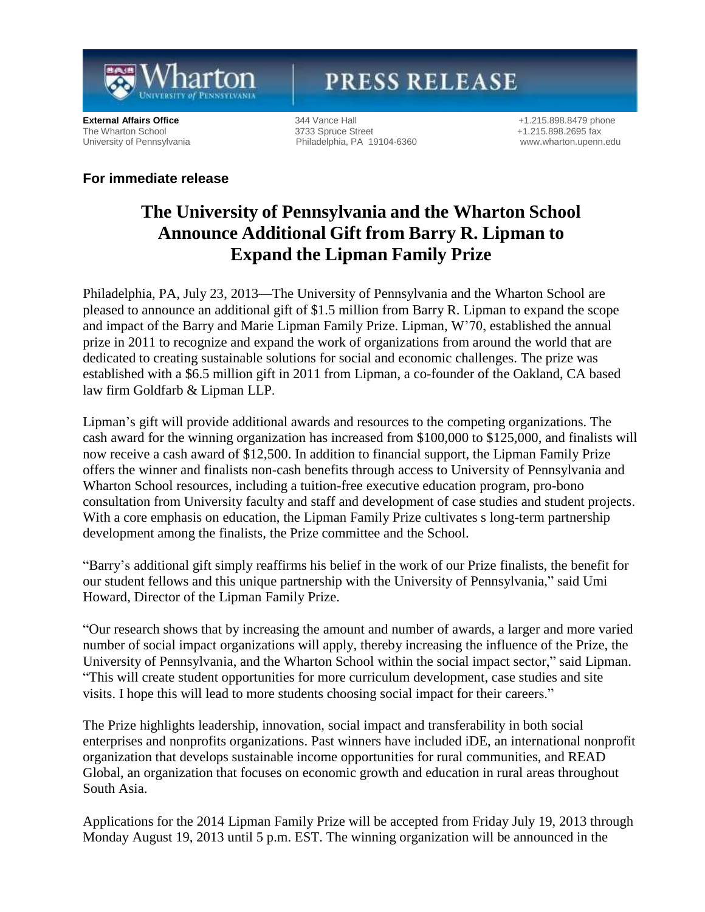

# **PRESS RELEASE**

**External Affairs Office** 344 Vance Hall 5000 and the three street 41.215.898.8479 phone<br>
3733 Spruce Street 5000 41.215.898.2695 fax The Wharton School 3733 Spruce Street 3733 Spruce Street 41.215.898.2695 fax<br>
University of Pennsylvania 3733 Spruce Street 360 3763 Spruce Street 3860 3763 Spruce Street 3860 3763 Spruce S Philadelphia, PA 19104-6360 [www.wharton.upenn.edu](http://www.wharton.upenn.edu/)

### **For immediate release**

## **The University of Pennsylvania and the Wharton School Announce Additional Gift from Barry R. Lipman to Expand the Lipman Family Prize**

Philadelphia, PA, July 23, 2013—The University of Pennsylvania and the Wharton School are pleased to announce an additional gift of \$1.5 million from Barry R. Lipman to expand the scope and impact of the Barry and Marie Lipman Family Prize. Lipman, W'70, established the annual prize in 2011 to recognize and expand the work of organizations from around the world that are dedicated to creating sustainable solutions for social and economic challenges. The prize was established with a \$6.5 million gift in 2011 from Lipman, a co-founder of the Oakland, CA based law firm Goldfarb & Lipman LLP.

Lipman's gift will provide additional awards and resources to the competing organizations. The cash award for the winning organization has increased from \$100,000 to \$125,000, and finalists will now receive a cash award of \$12,500. In addition to financial support, the Lipman Family Prize offers the winner and finalists non-cash benefits through access to University of Pennsylvania and Wharton School resources, including a tuition-free executive education program, pro-bono consultation from University faculty and staff and development of case studies and student projects. With a core emphasis on education, the Lipman Family Prize cultivates s long-term partnership development among the finalists, the Prize committee and the School.

"Barry's additional gift simply reaffirms his belief in the work of our Prize finalists, the benefit for our student fellows and this unique partnership with the University of Pennsylvania," said Umi Howard, Director of the Lipman Family Prize.

"Our research shows that by increasing the amount and number of awards, a larger and more varied number of social impact organizations will apply, thereby increasing the influence of the Prize, the University of Pennsylvania, and the Wharton School within the social impact sector," said Lipman. "This will create student opportunities for more curriculum development, case studies and site visits. I hope this will lead to more students choosing social impact for their careers."

The Prize highlights leadership, innovation, social impact and transferability in both social enterprises and nonprofits organizations. Past winners have included iDE, an international nonprofit organization that develops sustainable income opportunities for rural communities, and READ Global, an organization that focuses on economic growth and education in rural areas throughout South Asia.

Applications for the 2014 Lipman Family Prize will be accepted from Friday July 19, 2013 through Monday August 19, 2013 until 5 p.m. EST. The winning organization will be announced in the